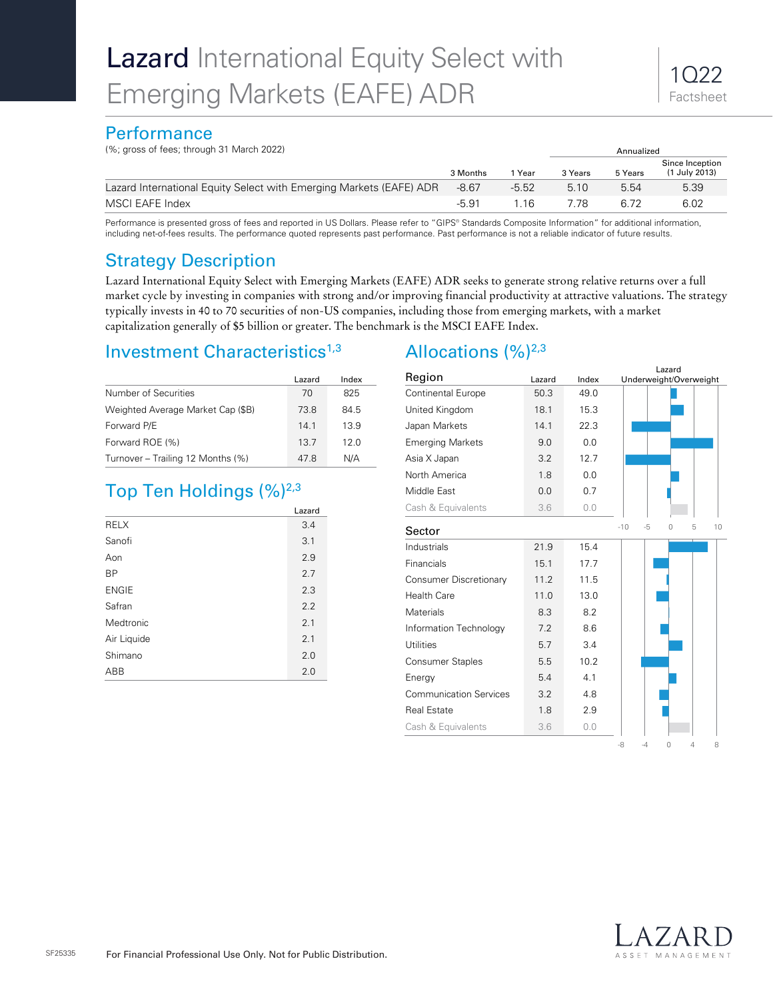## **Performance**

(%; gross of fees; through 31 March 2022) Annualized

| $\frac{1}{2}$ , grood of 1000, anough of ividion E022,              | Alliualizcu |         |         |         |                                  |  |
|---------------------------------------------------------------------|-------------|---------|---------|---------|----------------------------------|--|
|                                                                     | 3 Months    | 1 Year  | 3 Years | 5 Years | Since Inception<br>(1 July 2013) |  |
| Lazard International Equity Select with Emerging Markets (EAFE) ADR | $-8.67$     | $-5.52$ | 5.10    | 5.54    | 5.39                             |  |
| MSCI EAFE Index                                                     | $-5.91$     | -16     | 7 78    | հ 72    | 6.02                             |  |

Performance is presented gross of fees and reported in US Dollars. Please refer to "GIPS® Standards Composite Information," for additional information, including net-of-fees results. The performance quoted represents past performance. Past performance is not a reliable indicator of future results.

# Strategy Description

Lazard International Equity Select with Emerging Markets (EAFE) ADR seeks to generate strong relative returns over a full market cycle by investing in companies with strong and/or improving financial productivity at attractive valuations. The strategy typically invests in 40 to 70 securities of non-US companies, including those from emerging markets, with a market capitalization generally of \$5 billion or greater. The benchmark is the MSCI EAFE Index.

# Investment Characteristics<sup>1,3</sup>

|                                   | Lazard | Index |
|-----------------------------------|--------|-------|
| Number of Securities              | 70     | 825   |
| Weighted Average Market Cap (\$B) | 73.8   | 84.5  |
| Forward P/E                       | 141    | 13.9  |
| Forward ROE (%)                   | 13.7   | 12.0  |
| Turnover - Trailing 12 Months (%) | 478    | N/A   |

# Top Ten Holdings  $(\%)^{2,3}$

|              | Lazard |  |  |  |  |  |
|--------------|--------|--|--|--|--|--|
| <b>RELX</b>  | 3.4    |  |  |  |  |  |
| Sanofi       | 3.1    |  |  |  |  |  |
| Aon          | 2.9    |  |  |  |  |  |
| <b>BP</b>    | 2.7    |  |  |  |  |  |
| <b>ENGIE</b> | 2.3    |  |  |  |  |  |
| Safran       | 2.2    |  |  |  |  |  |
| Medtronic    | 2.1    |  |  |  |  |  |
| Air Liquide  | 2.1    |  |  |  |  |  |
| Shimano      | 2.0    |  |  |  |  |  |
| ABB          | 2.0    |  |  |  |  |  |

# Allocations  $(%)^{2,3}$

| Region                        | Lazard | Index | Lazard<br>Underweight/Overweight   |
|-------------------------------|--------|-------|------------------------------------|
| <b>Continental Europe</b>     | 50.3   | 49.0  |                                    |
| United Kingdom                | 18.1   | 15.3  |                                    |
| Japan Markets                 | 14.1   | 22.3  |                                    |
| <b>Emerging Markets</b>       | 9.0    | 0.0   |                                    |
| Asia X Japan                  | 3.2    | 12.7  |                                    |
| North America                 | 1.8    | 0.0   |                                    |
| Middle East                   | 0.0    | 0.7   |                                    |
| Cash & Equivalents            | 3.6    | 0.0   |                                    |
| Sector                        |        |       | $-10$<br>5<br>-5<br>$\Omega$<br>10 |
| Industrials                   | 21.9   | 15.4  |                                    |
| Financials                    | 15.1   | 17.7  |                                    |
| Consumer Discretionary        | 11.2   | 11.5  |                                    |
| <b>Health Care</b>            | 11.0   | 13.0  |                                    |
| <b>Materials</b>              | 8.3    | 8.2   |                                    |
| Information Technology        | 7.2    | 8.6   |                                    |
| <b>Utilities</b>              | 5.7    | 3.4   |                                    |
| <b>Consumer Staples</b>       | 5.5    | 10.2  |                                    |
| Energy                        | 5.4    | 4.1   |                                    |
| <b>Communication Services</b> | 3.2    | 4.8   |                                    |
| <b>Real Estate</b>            | 1.8    | 2.9   |                                    |
| Cash & Equivalents            | 3.6    | 0.0   |                                    |
|                               |        |       | -8<br>$-4$<br>4<br>0<br>8          |